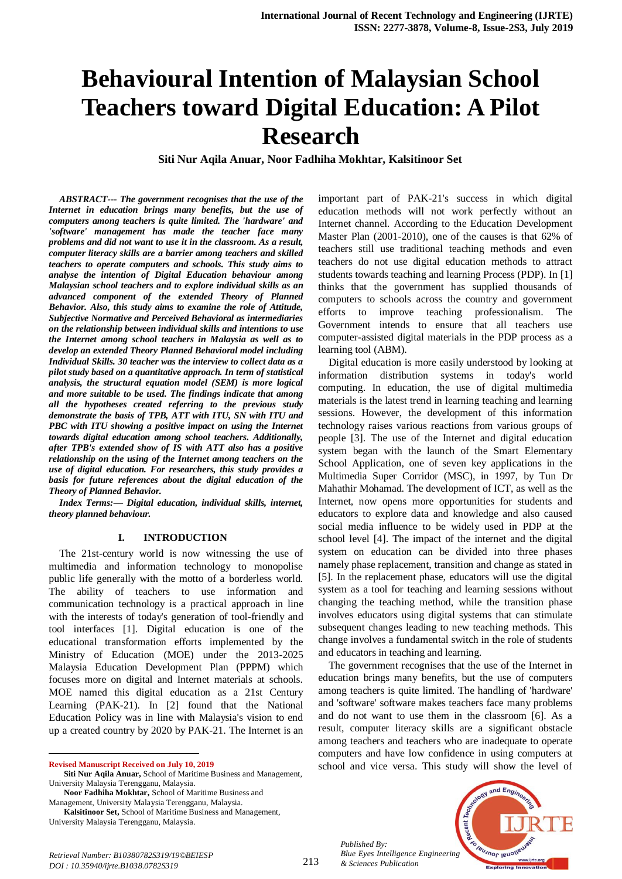# **Behavioural Intention of Malaysian School Teachers toward Digital Education: A Pilot Research**

**Siti Nur Aqila Anuar, Noor Fadhiha Mokhtar, Kalsitinoor Set**

*ABSTRACT--- The government recognises that the use of the Internet in education brings many benefits, but the use of computers among teachers is quite limited. The 'hardware' and 'software' management has made the teacher face many problems and did not want to use it in the classroom. As a result, computer literacy skills are a barrier among teachers and skilled teachers to operate computers and schools. This study aims to analyse the intention of Digital Education behaviour among Malaysian school teachers and to explore individual skills as an advanced component of the extended Theory of Planned Behavior. Also, this study aims to examine the role of Attitude, Subjective Normative and Perceived Behavioral as intermediaries on the relationship between individual skills and intentions to use the Internet among school teachers in Malaysia as well as to develop an extended Theory Planned Behavioral model including Individual Skills. 30 teacher was the interview to collect data as a pilot study based on a quantitative approach. In term of statistical analysis, the structural equation model (SEM) is more logical and more suitable to be used. The findings indicate that among all the hypotheses created referring to the previous study demonstrate the basis of TPB, ATT with ITU, SN with ITU and PBC with ITU showing a positive impact on using the Internet towards digital education among school teachers. Additionally, after TPB's extended show of IS with ATT also has a positive relationship on the using of the Internet among teachers on the use of digital education. For researchers, this study provides a basis for future references about the digital education of the Theory of Planned Behavior.*

*Index Terms:— Digital education, individual skills, internet, theory planned behaviour.*

#### **I. INTRODUCTION**

The 21st-century world is now witnessing the use of multimedia and information technology to monopolise public life generally with the motto of a borderless world. The ability of teachers to use information and communication technology is a practical approach in line with the interests of today's generation of tool-friendly and tool interfaces [1]. Digital education is one of the educational transformation efforts implemented by the Ministry of Education (MOE) under the 2013-2025 Malaysia Education Development Plan (PPPM) which focuses more on digital and Internet materials at schools. MOE named this digital education as a 21st Century Learning (PAK-21). In [2] found that the National Education Policy was in line with Malaysia's vision to end up a created country by 2020 by PAK-21. The Internet is an

**Revised Manuscript Received on July 10, 2019**

 $\overline{a}$ 

**Noor Fadhiha Mokhtar,** School of Maritime Business and

Management, University Malaysia Terengganu, Malaysia.

**Kalsitinoor Set,** School of Maritime Business and Management, University Malaysia Terengganu, Malaysia.

important part of PAK-21's success in which digital education methods will not work perfectly without an Internet channel. According to the Education Development Master Plan (2001-2010), one of the causes is that 62% of teachers still use traditional teaching methods and even teachers do not use digital education methods to attract students towards teaching and learning Process (PDP). In [1] thinks that the government has supplied thousands of computers to schools across the country and government efforts to improve teaching professionalism. The Government intends to ensure that all teachers use computer-assisted digital materials in the PDP process as a learning tool (ABM).

Digital education is more easily understood by looking at information distribution systems in today's world computing. In education, the use of digital multimedia materials is the latest trend in learning teaching and learning sessions. However, the development of this information technology raises various reactions from various groups of people [3]. The use of the Internet and digital education system began with the launch of the Smart Elementary School Application, one of seven key applications in the Multimedia Super Corridor (MSC), in 1997, by Tun Dr Mahathir Mohamad. The development of ICT, as well as the Internet, now opens more opportunities for students and educators to explore data and knowledge and also caused social media influence to be widely used in PDP at the school level [4]. The impact of the internet and the digital system on education can be divided into three phases namely phase replacement, transition and change as stated in [5]. In the replacement phase, educators will use the digital system as a tool for teaching and learning sessions without changing the teaching method, while the transition phase involves educators using digital systems that can stimulate subsequent changes leading to new teaching methods. This change involves a fundamental switch in the role of students and educators in teaching and learning.

The government recognises that the use of the Internet in education brings many benefits, but the use of computers among teachers is quite limited. The handling of 'hardware' and 'software' software makes teachers face many problems and do not want to use them in the classroom [6]. As a result, computer literacy skills are a significant obstacle among teachers and teachers who are inadequate to operate computers and have low confidence in using computers at school and vice versa. This study will show the level of

*Published By: Blue Eyes Intelligence Engineering & Sciences Publication* 



**Siti Nur Aqila Anuar,** School of Maritime Business and Management, University Malaysia Terengganu, Malaysia.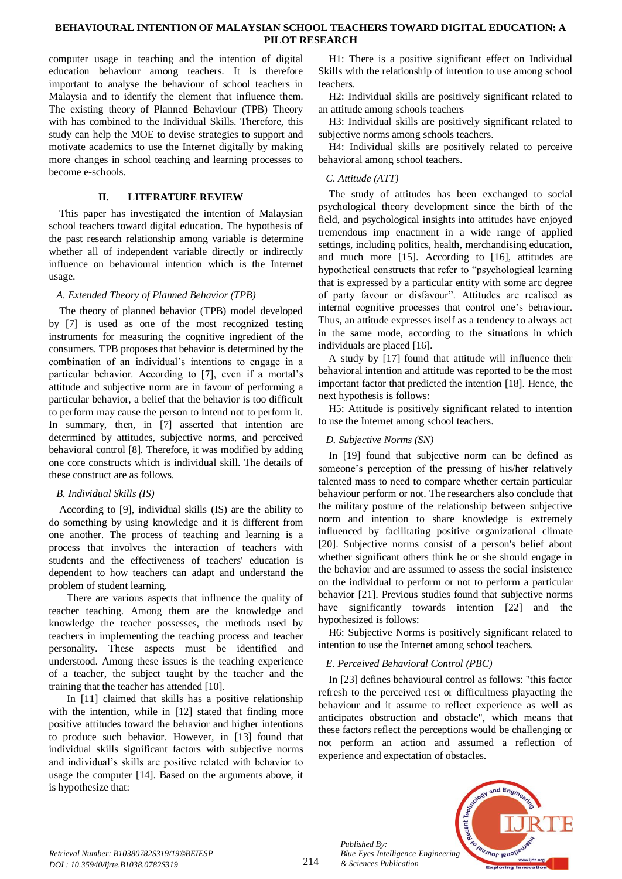computer usage in teaching and the intention of digital education behaviour among teachers. It is therefore important to analyse the behaviour of school teachers in Malaysia and to identify the element that influence them. The existing theory of Planned Behaviour (TPB) Theory with has combined to the Individual Skills. Therefore, this study can help the MOE to devise strategies to support and motivate academics to use the Internet digitally by making more changes in school teaching and learning processes to become e-schools.

## **II. LITERATURE REVIEW**

This paper has investigated the intention of Malaysian school teachers toward digital education. The hypothesis of the past research relationship among variable is determine whether all of independent variable directly or indirectly influence on behavioural intention which is the Internet usage.

## *A. Extended Theory of Planned Behavior (TPB)*

The theory of planned behavior (TPB) model developed by [7] is used as one of the most recognized testing instruments for measuring the cognitive ingredient of the consumers. TPB proposes that behavior is determined by the combination of an individual's intentions to engage in a particular behavior. According to [7], even if a mortal's attitude and subjective norm are in favour of performing a particular behavior, a belief that the behavior is too difficult to perform may cause the person to intend not to perform it. In summary, then, in [7] asserted that intention are determined by attitudes, subjective norms, and perceived behavioral control [8]. Therefore, it was modified by adding one core constructs which is individual skill. The details of these construct are as follows.

# *B. Individual Skills (IS)*

According to [9], individual skills (IS) are the ability to do something by using knowledge and it is different from one another. The process of teaching and learning is a process that involves the interaction of teachers with students and the effectiveness of teachers' education is dependent to how teachers can adapt and understand the problem of student learning.

 There are various aspects that influence the quality of teacher teaching. Among them are the knowledge and knowledge the teacher possesses, the methods used by teachers in implementing the teaching process and teacher personality. These aspects must be identified and understood. Among these issues is the teaching experience of a teacher, the subject taught by the teacher and the training that the teacher has attended [10].

 In [11] claimed that skills has a positive relationship with the intention, while in [12] stated that finding more positive attitudes toward the behavior and higher intentions to produce such behavior. However, in [13] found that individual skills significant factors with subjective norms and individual's skills are positive related with behavior to usage the computer [14]. Based on the arguments above, it is hypothesize that:

H1: There is a positive significant effect on Individual Skills with the relationship of intention to use among school teachers.

H2: Individual skills are positively significant related to an attitude among schools teachers

H3: Individual skills are positively significant related to subjective norms among schools teachers.

H4: Individual skills are positively related to perceive behavioral among school teachers.

## *C. Attitude (ATT)*

The study of attitudes has been exchanged to social psychological theory development since the birth of the field, and psychological insights into attitudes have enjoyed tremendous imp enactment in a wide range of applied settings, including politics, health, merchandising education, and much more [15]. According to [16], attitudes are hypothetical constructs that refer to "psychological learning that is expressed by a particular entity with some arc degree of party favour or disfavour". Attitudes are realised as internal cognitive processes that control one's behaviour. Thus, an attitude expresses itself as a tendency to always act in the same mode, according to the situations in which individuals are placed [16].

A study by [17] found that attitude will influence their behavioral intention and attitude was reported to be the most important factor that predicted the intention [18]. Hence, the next hypothesis is follows:

H5: Attitude is positively significant related to intention to use the Internet among school teachers.

## *D. Subjective Norms (SN)*

In [19] found that subjective norm can be defined as someone's perception of the pressing of his/her relatively talented mass to need to compare whether certain particular behaviour perform or not. The researchers also conclude that the military posture of the relationship between subjective norm and intention to share knowledge is extremely influenced by facilitating positive organizational climate [20]. Subjective norms consist of a person's belief about whether significant others think he or she should engage in the behavior and are assumed to assess the social insistence on the individual to perform or not to perform a particular behavior [21]. Previous studies found that subjective norms have significantly towards intention [22] and the hypothesized is follows:

H6: Subjective Norms is positively significant related to intention to use the Internet among school teachers.

# *E. Perceived Behavioral Control (PBC)*

In [23] defines behavioural control as follows: "this factor refresh to the perceived rest or difficultness playacting the behaviour and it assume to reflect experience as well as anticipates obstruction and obstacle", which means that these factors reflect the perceptions would be challenging or not perform an action and assumed a reflection of experience and expectation of obstacles.



*Published By:*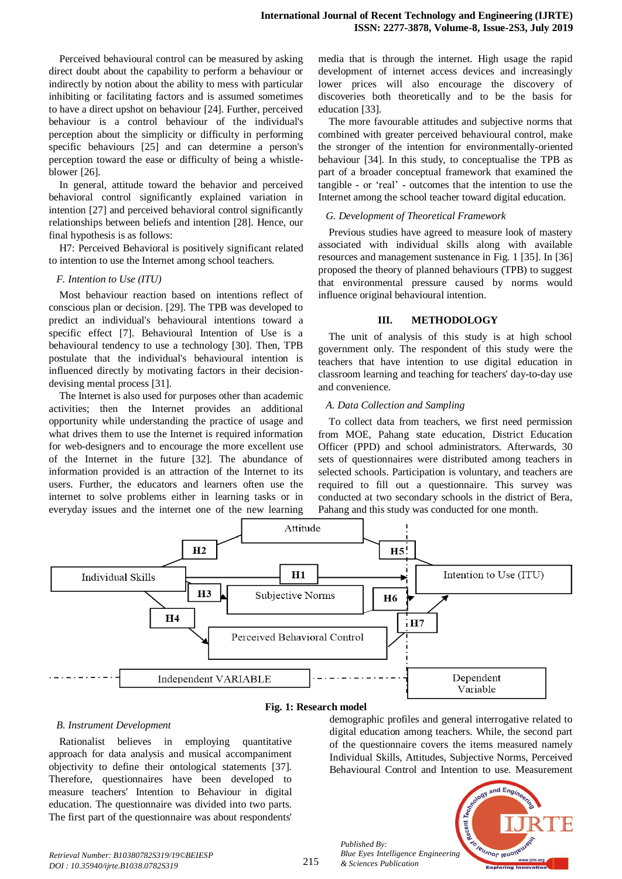Perceived behavioural control can be measured by asking direct doubt about the capability to perform a behaviour or indirectly by notion about the ability to mess with particular inhibiting or facilitating factors and is assumed sometimes to have a direct upshot on behaviour [24]. Further, perceived behaviour is a control behaviour of the individual's perception about the simplicity or difficulty in performing specific behaviours [25] and can determine a person's perception toward the ease or difficulty of being a whistleblower [26].

In general, attitude toward the behavior and perceived behavioral control significantly explained variation in intention [27] and perceived behavioral control significantly relationships between beliefs and intention [28]. Hence, our final hypothesis is as follows:

H7: Perceived Behavioral is positively significant related to intention to use the Internet among school teachers.

#### *F. Intention to Use (ITU)*

Most behaviour reaction based on intentions reflect of conscious plan or decision. [29]. The TPB was developed to predict an individual's behavioural intentions toward a specific effect [7]. Behavioural Intention of Use is a behavioural tendency to use a technology [30]. Then, TPB postulate that the individual's behavioural intention is influenced directly by motivating factors in their decisiondevising mental process [31].

The Internet is also used for purposes other than academic activities; then the Internet provides an additional opportunity while understanding the practice of usage and what drives them to use the Internet is required information for web-designers and to encourage the more excellent use of the Internet in the future [32]. The abundance of information provided is an attraction of the Internet to its users. Further, the educators and learners often use the internet to solve problems either in learning tasks or in everyday issues and the internet one of the new learning

media that is through the internet. High usage the rapid development of internet access devices and increasingly lower prices will also encourage the discovery of discoveries both theoretically and to be the basis for education [33].

The more favourable attitudes and subjective norms that combined with greater perceived behavioural control, make the stronger of the intention for environmentally-oriented behaviour [34]. In this study, to conceptualise the TPB as part of a broader conceptual framework that examined the tangible - or 'real' - outcomes that the intention to use the Internet among the school teacher toward digital education.

#### *G. Development of Theoretical Framework*

Previous studies have agreed to measure look of mastery associated with individual skills along with available resources and management sustenance in Fig. 1 [35]. In [36] proposed the theory of planned behaviours (TPB) to suggest that environmental pressure caused by norms would influence original behavioural intention.

#### **III. METHODOLOGY**

The unit of analysis of this study is at high school government only. The respondent of this study were the teachers that have intention to use digital education in classroom learning and teaching for teachers' day-to-day use and convenience.

#### *A. Data Collection and Sampling*

To collect data from teachers, we first need permission from MOE, Pahang state education, District Education Officer (PPD) and school administrators. Afterwards, 30 sets of questionnaires were distributed among teachers in selected schools. Participation is voluntary, and teachers are required to fill out a questionnaire. This survey was conducted at two secondary schools in the district of Bera, Pahang and this study was conducted for one month.



#### **Fig. 1: Research model**

#### *B. Instrument Development*

Rationalist believes in employing quantitative approach for data analysis and musical accompaniment objectivity to define their ontological statements [37]. Therefore, questionnaires have been developed to measure teachers' Intention to Behaviour in digital education. The questionnaire was divided into two parts. The first part of the questionnaire was about respondents'

demographic profiles and general interrogative related to digital education among teachers. While, the second part of the questionnaire covers the items measured namely Individual Skills, Attitudes, Subjective Norms, Perceived Behavioural Control and Intention to use. Measurement



*Published By:*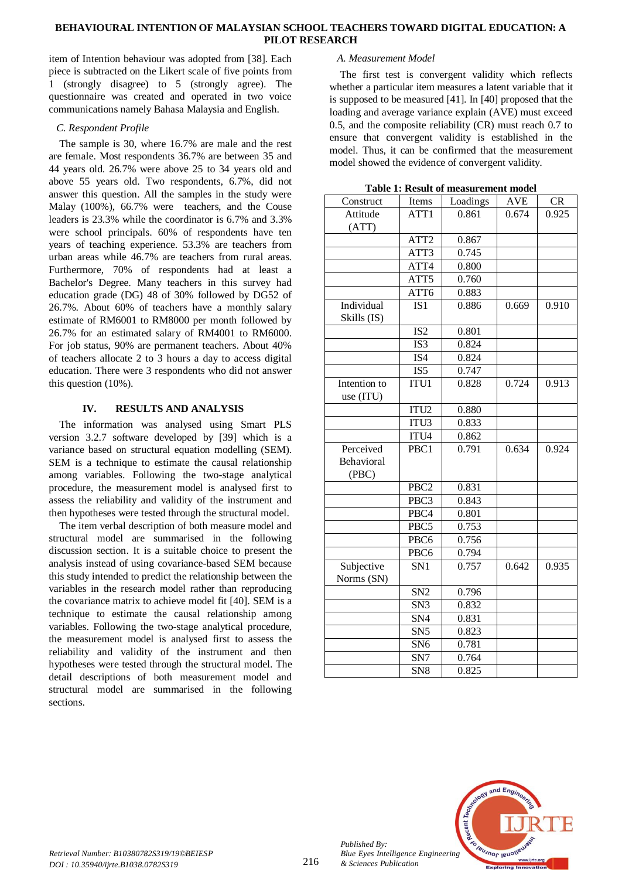item of Intention behaviour was adopted from [38]. Each piece is subtracted on the Likert scale of five points from 1 (strongly disagree) to 5 (strongly agree). The questionnaire was created and operated in two voice communications namely Bahasa Malaysia and English.

## *C. Respondent Profile*

The sample is 30, where 16.7% are male and the rest are female. Most respondents 36.7% are between 35 and 44 years old. 26.7% were above 25 to 34 years old and above 55 years old. Two respondents, 6.7%, did not answer this question. All the samples in the study were Malay (100%), 66.7% were teachers, and the Couse leaders is 23.3% while the coordinator is 6.7% and 3.3% were school principals. 60% of respondents have ten years of teaching experience. 53.3% are teachers from urban areas while 46.7% are teachers from rural areas. Furthermore, 70% of respondents had at least a Bachelor's Degree. Many teachers in this survey had education grade (DG) 48 of 30% followed by DG52 of 26.7%. About 60% of teachers have a monthly salary estimate of RM6001 to RM8000 per month followed by 26.7% for an estimated salary of RM4001 to RM6000. For job status, 90% are permanent teachers. About 40% of teachers allocate 2 to 3 hours a day to access digital education. There were 3 respondents who did not answer this question (10%).

## **IV. RESULTS AND ANALYSIS**

The information was analysed using Smart PLS version 3.2.7 software developed by [39] which is a variance based on structural equation modelling (SEM). SEM is a technique to estimate the causal relationship among variables. Following the two-stage analytical procedure, the measurement model is analysed first to assess the reliability and validity of the instrument and then hypotheses were tested through the structural model.

The item verbal description of both measure model and structural model are summarised in the following discussion section. It is a suitable choice to present the analysis instead of using covariance-based SEM because this study intended to predict the relationship between the variables in the research model rather than reproducing the covariance matrix to achieve model fit [40]. SEM is a technique to estimate the causal relationship among variables. Following the two-stage analytical procedure, the measurement model is analysed first to assess the reliability and validity of the instrument and then hypotheses were tested through the structural model. The detail descriptions of both measurement model and structural model are summarised in the following sections.

## *A. Measurement Model*

The first test is convergent validity which reflects whether a particular item measures a latent variable that it is supposed to be measured [41]. In [40] proposed that the loading and average variance explain (AVE) must exceed 0.5, and the composite reliability (CR) must reach 0.7 to ensure that convergent validity is established in the model. Thus, it can be confirmed that the measurement model showed the evidence of convergent validity.

| Construct    | Items            | Loadings | AVE   | <b>CR</b> |
|--------------|------------------|----------|-------|-----------|
| Attitude     | ATT1             | 0.861    | 0.674 | 0.925     |
| (ATT)        |                  |          |       |           |
|              | ATT <sub>2</sub> | 0.867    |       |           |
|              | ATT3             | 0.745    |       |           |
|              | ATT4             | 0.800    |       |           |
|              | ATT5             | 0.760    |       |           |
|              | ATT6             | 0.883    |       |           |
| Individual   | IS <sub>1</sub>  | 0.886    | 0.669 | 0.910     |
| Skills (IS)  |                  |          |       |           |
|              | IS <sub>2</sub>  | 0.801    |       |           |
|              | IS3              | 0.824    |       |           |
|              | IS4              | 0.824    |       |           |
|              | IS <sub>5</sub>  | 0.747    |       |           |
| Intention to | ITU1             | 0.828    | 0.724 | 0.913     |
| use (ITU)    |                  |          |       |           |
|              | ITU <sub>2</sub> | 0.880    |       |           |
|              | ITU3             | 0.833    |       |           |
|              | ITU4             | 0.862    |       |           |
| Perceived    | PBC1             | 0.791    | 0.634 | 0.924     |
| Behavioral   |                  |          |       |           |
| (PBC)        |                  |          |       |           |
|              | PBC <sub>2</sub> | 0.831    |       |           |
|              | PBC3             | 0.843    |       |           |
|              | PBC4             | 0.801    |       |           |
|              | PBC5             | 0.753    |       |           |
|              | PBC6             | 0.756    |       |           |
|              | PBC6             | 0.794    |       |           |
| Subjective   | SN <sub>1</sub>  | 0.757    | 0.642 | 0.935     |
| Norms (SN)   |                  |          |       |           |
|              | SN <sub>2</sub>  | 0.796    |       |           |
|              | SN <sub>3</sub>  | 0.832    |       |           |
|              | SN <sub>4</sub>  | 0.831    |       |           |
|              | SN <sub>5</sub>  | 0.823    |       |           |
|              | SN <sub>6</sub>  | 0.781    |       |           |

SN7 0.764 SN8 0.825

**Table 1: Result of measurement model**



*Published By:*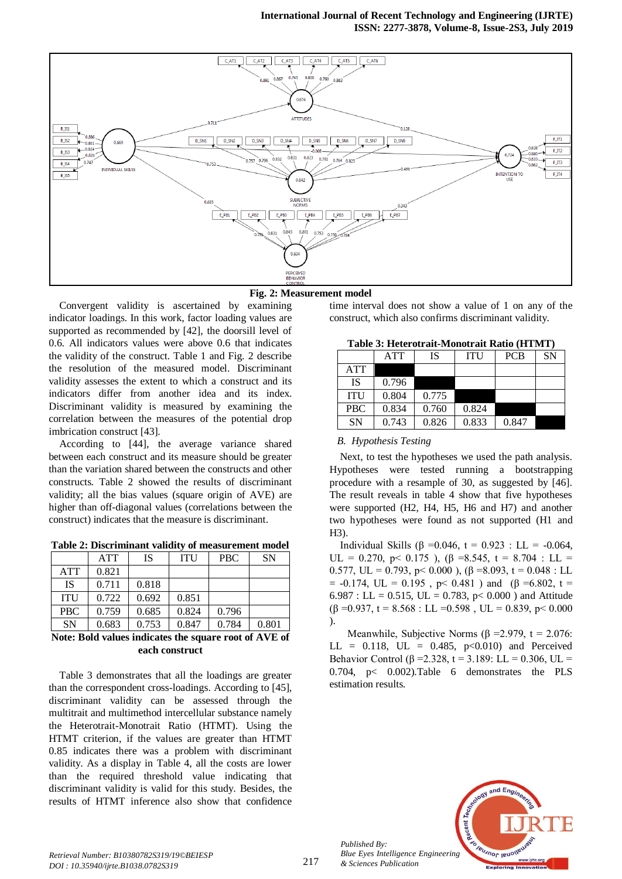



Convergent validity is ascertained by examining indicator loadings. In this work, factor loading values are supported as recommended by [42], the doorsill level of 0.6. All indicators values were above 0.6 that indicates the validity of the construct. Table 1 and Fig. 2 describe the resolution of the measured model. Discriminant validity assesses the extent to which a construct and its indicators differ from another idea and its index. Discriminant validity is measured by examining the correlation between the measures of the potential drop imbrication construct [43].

According to [44], the average variance shared between each construct and its measure should be greater than the variation shared between the constructs and other constructs. Table 2 showed the results of discriminant validity; all the bias values (square origin of AVE) are higher than off-diagonal values (correlations between the construct) indicates that the measure is discriminant.

| Table 2: Discriminant validity of measurement model |  |       |  |              |     |  |  |
|-----------------------------------------------------|--|-------|--|--------------|-----|--|--|
|                                                     |  | A TTP |  | <b>ITH L</b> | DDC |  |  |

|            | <b>ATT</b> | IS    | <b>ITU</b> | <b>PBC</b> | <b>SN</b> |
|------------|------------|-------|------------|------------|-----------|
| <b>ATT</b> | 0.821      |       |            |            |           |
| IS         | 0.711      | 0.818 |            |            |           |
| <b>ITU</b> | 0.722      | 0.692 | 0.851      |            |           |
| <b>PBC</b> | 0.759      | 0.685 | 0.824      | 0.796      |           |
| <b>SN</b>  | 0.683      | 0.753 | 0.847      | 0.784      | 0.801     |

## **Note: Bold values indicates the square root of AVE of each construct**

Table 3 demonstrates that all the loadings are greater than the correspondent cross-loadings. According to [45], discriminant validity can be assessed through the multitrait and multimethod intercellular substance namely the Heterotrait-Monotrait Ratio (HTMT). Using the HTMT criterion, if the values are greater than HTMT 0.85 indicates there was a problem with discriminant validity. As a display in Table 4, all the costs are lower than the required threshold value indicating that discriminant validity is valid for this study. Besides, the results of HTMT inference also show that confidence

time interval does not show a value of 1 on any of the construct, which also confirms discriminant validity.

| Table 3: Heterotrait-Monotrait Ratio (HTMT) |
|---------------------------------------------|
|---------------------------------------------|

|            | <b>ATT</b> | IS    | ITU   | <b>PCB</b> | <b>SN</b> |
|------------|------------|-------|-------|------------|-----------|
| <b>ATT</b> |            |       |       |            |           |
| <b>IS</b>  | 0.796      |       |       |            |           |
| <b>ITU</b> | 0.804      | 0.775 |       |            |           |
| <b>PBC</b> | 0.834      | 0.760 | 0.824 |            |           |
| <b>SN</b>  | 0.743      | 0.826 | 0.833 | 0.847      |           |

# *B. Hypothesis Testing*

Next, to test the hypotheses we used the path analysis. Hypotheses were tested running a bootstrapping procedure with a resample of 30, as suggested by [46]. The result reveals in table 4 show that five hypotheses were supported (H2, H4, H5, H6 and H7) and another two hypotheses were found as not supported (H1 and H3).

Individual Skills (β = 0.046, t = 0.923 : LL = -0.064, UL = 0.270, p < 0.175 ),  $(\beta = 8.545, t = 8.704$  : LL = 0.577, UL = 0.793, p < 0.000),  $(β = 8.093, t = 0.048 : LL)$ = -0.174, UL = 0.195, p < 0.481) and (β = 6.802, t = 6.987 : LL = 0.515, UL = 0.783,  $p < 0.000$ ) and Attitude  $(\beta = 0.937, t = 8.568$ : LL = 0.598, UL = 0.839, p < 0.000 ).

Meanwhile, Subjective Norms ( $\beta$  = 2.979, t = 2.076:  $LL = 0.118$ ,  $UL = 0.485$ ,  $p < 0.010$ ) and Perceived Behavior Control ( $\beta$  = 2.328, t = 3.189: LL = 0.306, UL = 0.704, p< 0.002).Table 6 demonstrates the PLS estimation results.



*Published By:*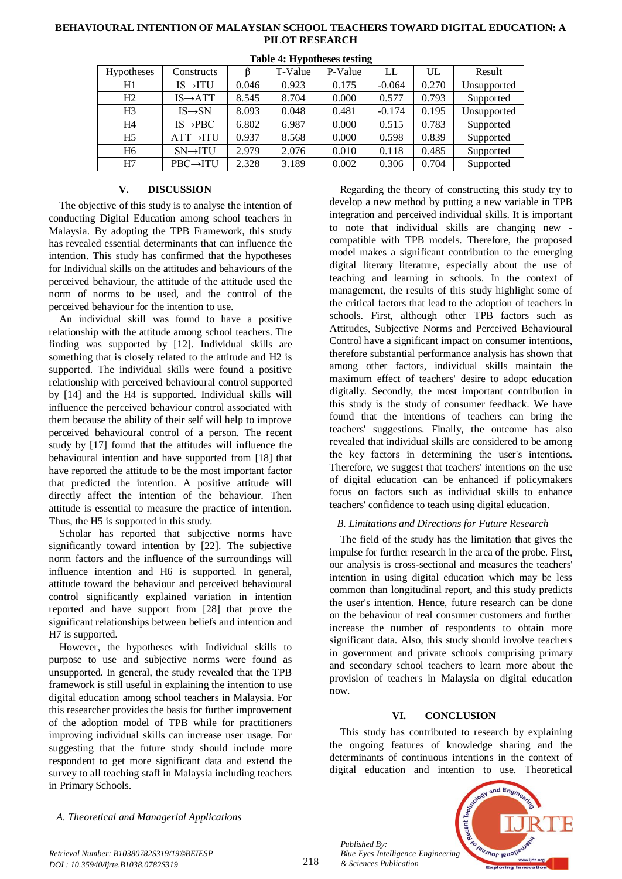| . <i>.</i> .   |                       |       |         |         |          |       |             |
|----------------|-----------------------|-------|---------|---------|----------|-------|-------------|
| Hypotheses     | Constructs            |       | T-Value | P-Value | LL       | UL    | Result      |
| H1             | $IS \rightarrow ITU$  | 0.046 | 0.923   | 0.175   | $-0.064$ | 0.270 | Unsupported |
| H2             | $IS \rightarrow ATT$  | 8.545 | 8.704   | 0.000   | 0.577    | 0.793 | Supported   |
| H3             | $IS \rightarrow SN$   | 8.093 | 0.048   | 0.481   | $-0.174$ | 0.195 | Unsupported |
| Η4             | $IS \rightarrow PBC$  | 6.802 | 6.987   | 0.000   | 0.515    | 0.783 | Supported   |
| H <sub>5</sub> | $ATT \rightarrow ITU$ | 0.937 | 8.568   | 0.000   | 0.598    | 0.839 | Supported   |
| H6             | $SN \rightarrow ITU$  | 2.979 | 2.076   | 0.010   | 0.118    | 0.485 | Supported   |
| H7             | $PBC \rightarrow ITU$ | 2.328 | 3.189   | 0.002   | 0.306    | 0.704 | Supported   |

#### **Table 4: Hypotheses testing**

#### **V. DISCUSSION**

The objective of this study is to analyse the intention of conducting Digital Education among school teachers in Malaysia. By adopting the TPB Framework, this study has revealed essential determinants that can influence the intention. This study has confirmed that the hypotheses for Individual skills on the attitudes and behaviours of the perceived behaviour, the attitude of the attitude used the norm of norms to be used, and the control of the perceived behaviour for the intention to use.

An individual skill was found to have a positive relationship with the attitude among school teachers. The finding was supported by [12]. Individual skills are something that is closely related to the attitude and H2 is supported. The individual skills were found a positive relationship with perceived behavioural control supported by [14] and the H4 is supported. Individual skills will influence the perceived behaviour control associated with them because the ability of their self will help to improve perceived behavioural control of a person. The recent study by [17] found that the attitudes will influence the behavioural intention and have supported from [18] that have reported the attitude to be the most important factor that predicted the intention. A positive attitude will directly affect the intention of the behaviour. Then attitude is essential to measure the practice of intention. Thus, the H5 is supported in this study.

Scholar has reported that subjective norms have significantly toward intention by [22]. The subjective norm factors and the influence of the surroundings will influence intention and H6 is supported. In general, attitude toward the behaviour and perceived behavioural control significantly explained variation in intention reported and have support from [28] that prove the significant relationships between beliefs and intention and H7 is supported.

However, the hypotheses with Individual skills to purpose to use and subjective norms were found as unsupported. In general, the study revealed that the TPB framework is still useful in explaining the intention to use digital education among school teachers in Malaysia. For this researcher provides the basis for further improvement of the adoption model of TPB while for practitioners improving individual skills can increase user usage. For suggesting that the future study should include more respondent to get more significant data and extend the survey to all teaching staff in Malaysia including teachers in Primary Schools.

Regarding the theory of constructing this study try to develop a new method by putting a new variable in TPB integration and perceived individual skills. It is important to note that individual skills are changing new compatible with TPB models. Therefore, the proposed model makes a significant contribution to the emerging digital literary literature, especially about the use of teaching and learning in schools. In the context of management, the results of this study highlight some of the critical factors that lead to the adoption of teachers in schools. First, although other TPB factors such as Attitudes, Subjective Norms and Perceived Behavioural Control have a significant impact on consumer intentions, therefore substantial performance analysis has shown that among other factors, individual skills maintain the maximum effect of teachers' desire to adopt education digitally. Secondly, the most important contribution in this study is the study of consumer feedback. We have found that the intentions of teachers can bring the teachers' suggestions. Finally, the outcome has also revealed that individual skills are considered to be among the key factors in determining the user's intentions. Therefore, we suggest that teachers' intentions on the use of digital education can be enhanced if policymakers focus on factors such as individual skills to enhance teachers' confidence to teach using digital education.

#### *B. Limitations and Directions for Future Research*

The field of the study has the limitation that gives the impulse for further research in the area of the probe. First, our analysis is cross-sectional and measures the teachers' intention in using digital education which may be less common than longitudinal report, and this study predicts the user's intention. Hence, future research can be done on the behaviour of real consumer customers and further increase the number of respondents to obtain more significant data. Also, this study should involve teachers in government and private schools comprising primary and secondary school teachers to learn more about the provision of teachers in Malaysia on digital education now.

#### **VI. CONCLUSION**

This study has contributed to research by explaining the ongoing features of knowledge sharing and the determinants of continuous intentions in the context of digital education and intention to use. Theoretical

*A. Theoretical and Managerial Applications*



*Retrieval Number: B10380782S319/19©BEIESP DOI : 10.35940/ijrte.B1038.0782S319*

*Published By:*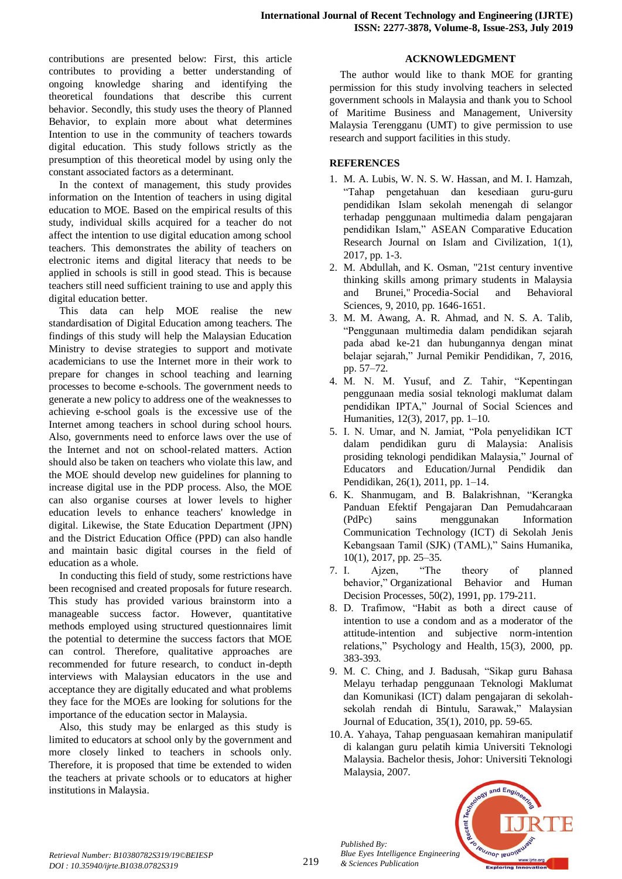contributions are presented below: First, this article contributes to providing a better understanding of ongoing knowledge sharing and identifying the theoretical foundations that describe this current behavior. Secondly, this study uses the theory of Planned Behavior, to explain more about what determines Intention to use in the community of teachers towards digital education. This study follows strictly as the presumption of this theoretical model by using only the constant associated factors as a determinant.

In the context of management, this study provides information on the Intention of teachers in using digital education to MOE. Based on the empirical results of this study, individual skills acquired for a teacher do not affect the intention to use digital education among school teachers. This demonstrates the ability of teachers on electronic items and digital literacy that needs to be applied in schools is still in good stead. This is because teachers still need sufficient training to use and apply this digital education better.

This data can help MOE realise the new standardisation of Digital Education among teachers. The findings of this study will help the Malaysian Education Ministry to devise strategies to support and motivate academicians to use the Internet more in their work to prepare for changes in school teaching and learning processes to become e-schools. The government needs to generate a new policy to address one of the weaknesses to achieving e-school goals is the excessive use of the Internet among teachers in school during school hours. Also, governments need to enforce laws over the use of the Internet and not on school-related matters. Action should also be taken on teachers who violate this law, and the MOE should develop new guidelines for planning to increase digital use in the PDP process. Also, the MOE can also organise courses at lower levels to higher education levels to enhance teachers' knowledge in digital. Likewise, the State Education Department (JPN) and the District Education Office (PPD) can also handle and maintain basic digital courses in the field of education as a whole.

In conducting this field of study, some restrictions have been recognised and created proposals for future research. This study has provided various brainstorm into a manageable success factor. However, quantitative methods employed using structured questionnaires limit the potential to determine the success factors that MOE can control. Therefore, qualitative approaches are recommended for future research, to conduct in-depth interviews with Malaysian educators in the use and acceptance they are digitally educated and what problems they face for the MOEs are looking for solutions for the importance of the education sector in Malaysia.

Also, this study may be enlarged as this study is limited to educators at school only by the government and more closely linked to teachers in schools only. Therefore, it is proposed that time be extended to widen the teachers at private schools or to educators at higher institutions in Malaysia.

## **ACKNOWLEDGMENT**

The author would like to thank MOE for granting permission for this study involving teachers in selected government schools in Malaysia and thank you to School of Maritime Business and Management, University Malaysia Terengganu (UMT) to give permission to use research and support facilities in this study.

## **REFERENCES**

- 1. M. A. Lubis, W. N. S. W. Hassan, and M. I. Hamzah, "Tahap pengetahuan dan kesediaan guru-guru pendidikan Islam sekolah menengah di selangor terhadap penggunaan multimedia dalam pengajaran pendidikan Islam," ASEAN Comparative Education Research Journal on Islam and Civilization, 1(1), 2017, pp. 1-3.
- 2. M. Abdullah, and K. Osman, "21st century inventive thinking skills among primary students in Malaysia and Brunei," Procedia-Social and Behavioral Sciences, 9, 2010, pp. 1646-1651.
- 3. M. M. Awang, A. R. Ahmad, and N. S. A. Talib, "Penggunaan multimedia dalam pendidikan sejarah pada abad ke-21 dan hubungannya dengan minat belajar sejarah," Jurnal Pemikir Pendidikan, 7, 2016, pp. 57–72.
- 4. M. N. M. Yusuf, and Z. Tahir, "Kepentingan penggunaan media sosial teknologi maklumat dalam pendidikan IPTA," Journal of Social Sciences and Humanities, 12(3), 2017, pp. 1–10.
- 5. I. N. Umar, and N. Jamiat, "Pola penyelidikan ICT dalam pendidikan guru di Malaysia: Analisis prosiding teknologi pendidikan Malaysia," Journal of Educators and Education/Jurnal Pendidik dan Pendidikan, 26(1), 2011, pp. 1–14.
- 6. K. Shanmugam, and B. Balakrishnan, "Kerangka Panduan Efektif Pengajaran Dan Pemudahcaraan (PdPc) sains menggunakan Information Communication Technology (ICT) di Sekolah Jenis Kebangsaan Tamil (SJK) (TAML)," Sains Humanika, 10(1), 2017, pp. 25–35.
- 7. I. Ajzen, "The theory of planned behavior," Organizational Behavior and Human Decision Processes, 50(2), 1991, pp. 179-211.
- 8. D. Trafimow, "Habit as both a direct cause of intention to use a condom and as a moderator of the attitude-intention and subjective norm-intention relations," Psychology and Health, 15(3), 2000, pp. 383-393.
- 9. M. C. Ching, and J. Badusah, "Sikap guru Bahasa Melayu terhadap penggunaan Teknologi Maklumat dan Komunikasi (ICT) dalam pengajaran di sekolahsekolah rendah di Bintulu, Sarawak," Malaysian Journal of Education, 35(1), 2010, pp. 59-65.
- 10.A. Yahaya, Tahap penguasaan kemahiran manipulatif di kalangan guru pelatih kimia Universiti Teknologi Malaysia. Bachelor thesis, Johor: Universiti Teknologi Malaysia, 2007.



*Published By:*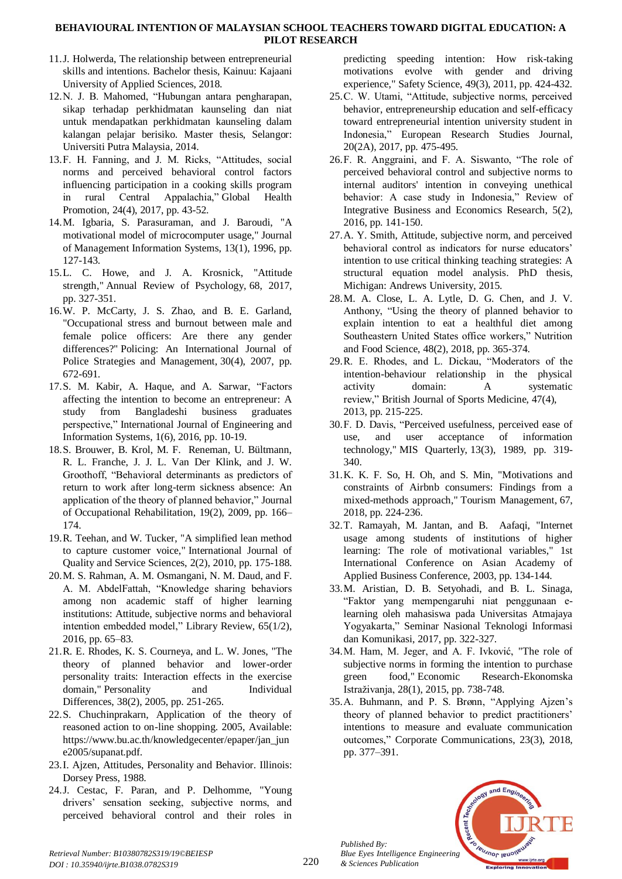- 11.J. Holwerda, The relationship between entrepreneurial skills and intentions. Bachelor thesis, Kainuu: Kajaani University of Applied Sciences, 2018.
- 12.N. J. B. Mahomed, "Hubungan antara pengharapan, sikap terhadap perkhidmatan kaunseling dan niat untuk mendapatkan perkhidmatan kaunseling dalam kalangan pelajar berisiko. Master thesis, Selangor: Universiti Putra Malaysia, 2014.
- 13.F. H. Fanning, and J. M. Ricks, "Attitudes, social norms and perceived behavioral control factors influencing participation in a cooking skills program in rural Central Appalachia," Global Health Promotion, 24(4), 2017, pp. 43-52.
- 14.M. Igbaria, S. Parasuraman, and J. Baroudi, "A motivational model of microcomputer usage," Journal of Management Information Systems, 13(1), 1996, pp. 127-143.
- 15.L. C. Howe, and J. A. Krosnick, "Attitude strength," Annual Review of Psychology, 68, 2017, pp. 327-351.
- 16.W. P. McCarty, J. S. Zhao, and B. E. Garland, "Occupational stress and burnout between male and female police officers: Are there any gender differences?" Policing: An International Journal of Police Strategies and Management, 30(4), 2007, pp. 672-691.
- 17.S. M. Kabir, A. Haque, and A. Sarwar, "Factors affecting the intention to become an entrepreneur: A study from Bangladeshi business graduates perspective," International Journal of Engineering and Information Systems, 1(6), 2016, pp. 10-19.
- 18.S. Brouwer, B. Krol, M. F. Reneman, U. Bültmann, R. L. Franche, J. J. L. Van Der Klink, and J. W. Groothoff, "Behavioral determinants as predictors of return to work after long-term sickness absence: An application of the theory of planned behavior," Journal of Occupational Rehabilitation, 19(2), 2009, pp. 166– 174.
- 19.R. Teehan, and W. Tucker, "A simplified lean method to capture customer voice," International Journal of Quality and Service Sciences, 2(2), 2010, pp. 175-188.
- 20.M. S. Rahman, A. M. Osmangani, N. M. Daud, and F. A. M. AbdelFattah, "Knowledge sharing behaviors among non academic staff of higher learning institutions: Attitude, subjective norms and behavioral intention embedded model," Library Review, 65(1/2), 2016, pp. 65–83.
- 21.R. E. Rhodes, K. S. Courneya, and L. W. Jones, "The theory of planned behavior and lower-order personality traits: Interaction effects in the exercise domain," Personality and Individual Differences, 38(2), 2005, pp. 251-265.
- 22.S. Chuchinprakarn, Application of the theory of reasoned action to on-line shopping. 2005, Available: https://www.bu.ac.th/knowledgecenter/epaper/jan\_jun e2005/supanat.pdf.
- 23.I. Ajzen, Attitudes, Personality and Behavior. Illinois: Dorsey Press, 1988.
- 24.J. Cestac, F. Paran, and P. Delhomme, "Young drivers' sensation seeking, subjective norms, and perceived behavioral control and their roles in

predicting speeding intention: How risk-taking motivations evolve with gender and driving experience," Safety Science, 49(3), 2011, pp. 424-432.

- 25.C. W. Utami, "Attitude, subjective norms, perceived behavior, entrepreneurship education and self-efficacy toward entrepreneurial intention university student in Indonesia," European Research Studies Journal, 20(2A), 2017, pp. 475-495.
- 26.F. R. Anggraini, and F. A. Siswanto, "The role of perceived behavioral control and subjective norms to internal auditors' intention in conveying unethical behavior: A case study in Indonesia," Review of Integrative Business and Economics Research, 5(2), 2016, pp. 141-150.
- 27.A. Y. Smith, Attitude, subjective norm, and perceived behavioral control as indicators for nurse educators' intention to use critical thinking teaching strategies: A structural equation model analysis. PhD thesis, Michigan: Andrews University, 2015.
- 28.M. A. Close, L. A. Lytle, D. G. Chen, and J. V. Anthony, "Using the theory of planned behavior to explain intention to eat a healthful diet among Southeastern United States office workers," Nutrition and Food Science, 48(2), 2018, pp. 365-374.
- 29.R. E. Rhodes, and L. Dickau, "Moderators of the intention-behaviour relationship in the physical activity domain: A systematic review," British Journal of Sports Medicine, 47(4), 2013, pp. 215-225.
- 30.F. D. Davis, "Perceived usefulness, perceived ease of use, and user acceptance of information technology," MIS Quarterly, 13(3), 1989, pp. 319- 340.
- 31.K. K. F. So, H. Oh, and S. Min, "Motivations and constraints of Airbnb consumers: Findings from a mixed-methods approach," Tourism Management, 67, 2018, pp. 224-236.
- 32.T. Ramayah, M. Jantan, and B. Aafaqi, "Internet usage among students of institutions of higher learning: The role of motivational variables," 1st International Conference on Asian Academy of Applied Business Conference, 2003, pp. 134-144.
- 33.M. Aristian, D. B. Setyohadi, and B. L. Sinaga, "Faktor yang mempengaruhi niat penggunaan elearning oleh mahasiswa pada Universitas Atmajaya Yogyakarta," Seminar Nasional Teknologi Informasi dan Komunikasi, 2017, pp. 322-327.
- 34.M. Ham, M. Jeger, and A. F. Ivković, "The role of subjective norms in forming the intention to purchase green food," Economic Research-Ekonomska Istraživanja, 28(1), 2015, pp. 738-748.
- 35.A. Buhmann, and P. S. Brønn, "Applying Ajzen's theory of planned behavior to predict practitioners' intentions to measure and evaluate communication outcomes," Corporate Communications, 23(3), 2018, pp. 377–391.



*Published By:*